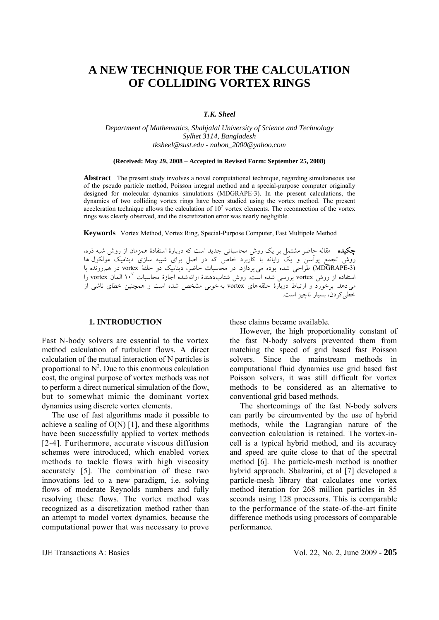# **A NEW TECHNIQUE FOR THE CALCULATION OF COLLIDING VORTEX RINGS**

### *T.K. Sheel*

*Department of Mathematics, Shahjalal University of Science and Technology Sylhet 3114, Bangladesh tksheel@sust.edu - nabon\_2000@yahoo.com* 

#### **(Received: May 29, 2008 – Accepted in Revised Form: September 25, 2008)**

**Abstract** The present study involves a novel computational technique, regarding simultaneous use of the pseudo particle method, Poisson integral method and a special-purpose computer originally designed for molecular dynamics simulations (MDGRAPE-3). In the present calculations, the dynamics of two colliding vortex rings have been studied using the vortex method. The present acceleration technique allows the calculation of  $10<sup>7</sup>$  vortex elements. The reconnection of the vortex rings was clearly observed, and the discretization error was nearly negligible.

**Keywords** Vortex Method, Vortex Ring, Special-Purpose Computer, Fast Multipole Method

چكيده مقاله حاضر مشتمل بر يک روش محاسباتي جديد است که دربارة استفادة همزمان از روش شبه ذره، روش تجمع پوآسن و يک رايانه با کاربرد خاص که در اصل براي شبيه سازي ديناميک مولکول ها (MDGRAPE-3) طراحی شده بوده می $\zeta$ دازد. در محاسبات حاضر، دینامیک دو حلقهٔ vortex در هم $\zeta$ ونده با استفاده از روش vortex بررسی شده است. روش شتابدهندهٔ ارائهشده اجازهٔ محاسبات ۱۰<sup>۷</sup> المان vortex را ميدهد. برخورد و ارتباط دوبارة حلقههای vortex به خوبی مشخص شده است و همچنين خطاي ناشي از خطيکردن، بسيار ناچيز است.

### **1. INTRODUCTION**

Fast N-body solvers are essential to the vortex method calculation of turbulent flows. A direct calculation of the mutual interaction of N particles is proportional to  $N^2$ . Due to this enormous calculation cost, the original purpose of vortex methods was not to perform a direct numerical simulation of the flow, but to somewhat mimic the dominant vortex dynamics using discrete vortex elements.

 The use of fast algorithms made it possible to achieve a scaling of  $O(N)$  [1], and these algorithms have been successfully applied to vortex methods [2-4]. Furthermore, accurate viscous diffusion schemes were introduced, which enabled vortex methods to tackle flows with high viscosity accurately [5]. The combination of these two innovations led to a new paradigm, i.e. solving flows of moderate Reynolds numbers and fully resolving these flows. The vortex method was recognized as a discretization method rather than an attempt to model vortex dynamics, because the computational power that was necessary to prove

these claims became available.

 However, the high proportionality constant of the fast N-body solvers prevented them from matching the speed of grid based fast Poisson solvers. Since the mainstream methods in computational fluid dynamics use grid based fast Poisson solvers, it was still difficult for vortex methods to be considered as an alternative to conventional grid based methods.

 The shortcomings of the fast N-body solvers can partly be circumvented by the use of hybrid methods, while the Lagrangian nature of the convection calculation is retained. The vortex-incell is a typical hybrid method, and its accuracy and speed are quite close to that of the spectral method [6]. The particle-mesh method is another hybrid approach. Sbalzarini, et al [7] developed a particle-mesh library that calculates one vortex method iteration for 268 million particles in 85 seconds using 128 processors. This is comparable to the performance of the state-of-the-art finite difference methods using processors of comparable performance.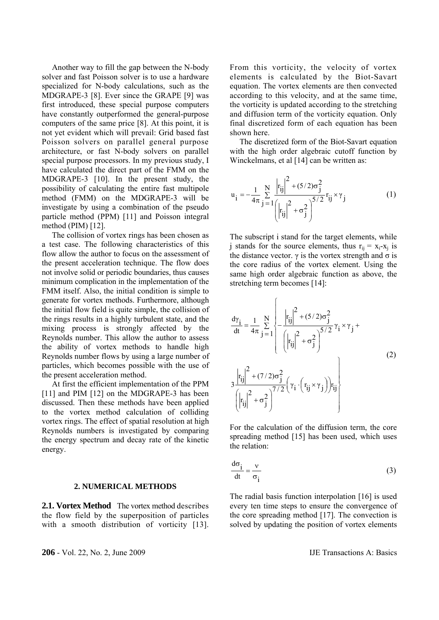Another way to fill the gap between the N-body solver and fast Poisson solver is to use a hardware specialized for N-body calculations, such as the MDGRAPE-3 [8]. Ever since the GRAPE [9] was first introduced, these special purpose computers have constantly outperformed the general-purpose computers of the same price [8]. At this point, it is not yet evident which will prevail: Grid based fast Poisson solvers on parallel general purpose architecture, or fast N-body solvers on parallel special purpose processors. In my previous study, I have calculated the direct part of the FMM on the MDGRAPE-3 [10]. In the present study, the possibility of calculating the entire fast multipole method (FMM) on the MDGRAPE-3 will be investigate by using a combination of the pseudo particle method (PPM) [11] and Poisson integral method (PIM) [12].

 The collision of vortex rings has been chosen as a test case. The following characteristics of this flow allow the author to focus on the assessment of the present acceleration technique. The flow does not involve solid or periodic boundaries, thus causes minimum complication in the implementation of the FMM itself. Also, the initial condition is simple to generate for vortex methods. Furthermore, although the initial flow field is quite simple, the collision of the rings results in a highly turbulent state, and the mixing process is strongly affected by the Reynolds number. This allow the author to assess the ability of vortex methods to handle high Reynolds number flows by using a large number of particles, which becomes possible with the use of the present acceleration method.

 At first the efficient implementation of the PPM [11] and PIM [12] on the MDGRAPE-3 has been discussed. Then these methods have been applied to the vortex method calculation of colliding vortex rings. The effect of spatial resolution at high Reynolds numbers is investigated by comparing the energy spectrum and decay rate of the kinetic energy.

#### **2. NUMERICAL METHODS**

**2.1. Vortex Method** The vortex method describes the flow field by the superposition of particles with a smooth distribution of vorticity [13]. From this vorticity, the velocity of vortex elements is calculated by the Biot-Savart equation. The vortex elements are then convected according to this velocity, and at the same time, the vorticity is updated according to the stretching and diffusion term of the vorticity equation. Only final discretized form of each equation has been shown here.

 The discretized form of the Biot-Savart equation with the high order algebraic cutoff function by Winckelmans, et al [14] can be written as:

$$
u_{i} = -\frac{1}{4\pi} \sum_{j=1}^{N} \frac{\left| r_{ij} \right|^{2} + (5/2)\sigma_{j}^{2}}{\left| r_{ij} \right|^{2} + \sigma_{j}^{2}} r_{ij} \times \gamma_{j}
$$
(1)

The subscript i stand for the target elements, while i stands for the source elements, thus  $r_{ii} = x_i - x_j$  is the distance vector.  $\gamma$  is the vortex strength and  $\sigma$  is the core radius of the vortex element. Using the same high order algebraic function as above, the stretching term becomes [14]:

$$
\frac{d\gamma_{i}}{dt} = \frac{1}{4\pi} \sum_{j=1}^{N} \left\{ -\frac{\left| r_{ij} \right|^{2} + (5/2)\sigma_{j}^{2}}{\left( \left| r_{ij} \right|^{2} + \sigma_{j}^{2} \right)^{5/2}} \gamma_{i} \times \gamma_{j} + \left( \left| r_{ij} \right|^{2} + (7/2)\sigma_{j}^{2} \left( \gamma_{i} \cdot \left( r_{ij} \times \gamma_{j} \right) \right) r_{ij} \right\} \right\}
$$
\n(2)

For the calculation of the diffusion term, the core spreading method [15] has been used, which uses the relation:

$$
\frac{d\sigma_{i}}{dt} = \frac{v}{\sigma_{i}}
$$
 (3)

The radial basis function interpolation [16] is used every ten time steps to ensure the convergence of the core spreading method [17]. The convection is solved by updating the position of vortex elements

**206** - Vol. 22, No. 2, June 2009 **IJE Transactions A: Basics**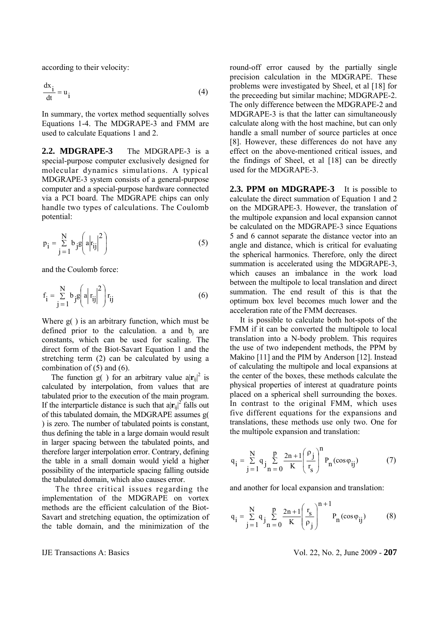according to their velocity:

$$
\frac{dx_i}{dt} = u_i
$$
 (4)

In summary, the vortex method sequentially solves Equations 1-4. The MDGRAPE-3 and FMM are used to calculate Equations 1 and 2.

**2.2. MDGRAPE-3** The MDGRAPE-3 is a special-purpose computer exclusively designed for molecular dynamics simulations. A typical MDGRAPE-3 system consists of a general-purpose computer and a special-purpose hardware connected via a PCI board. The MDGRAPE chips can only handle two types of calculations. The Coulomb potential:

$$
p_{i} = \sum_{j=1}^{N} b_{j} g\left(a \middle| r_{ij} \middle|^{2}\right)
$$
 (5)

and the Coulomb force:

$$
\mathbf{f}_{i} = \sum_{j=1}^{N} b_{j} g\left(a \middle| \mathbf{r}_{ij} \middle|^{2}\right) \mathbf{r}_{ij} \tag{6}
$$

Where g( ) is an arbitrary function, which must be defined prior to the calculation. a and  $b_i$  are constants, which can be used for scaling. The direct form of the Biot-Savart Equation 1 and the stretching term (2) can be calculated by using a combination of  $(5)$  and  $(6)$ .

The function  $g( )$  for an arbitrary value  $a|r_{ij}|^2$  is calculated by interpolation, from values that are tabulated prior to the execution of the main program. If the interparticle distance is such that  $a|r_{ij}|^2$  falls out of this tabulated domain, the MDGRAPE assumes g( ) is zero. The number of tabulated points is constant, thus defining the table in a large domain would result in larger spacing between the tabulated points, and therefore larger interpolation error. Contrary, defining the table in a small domain would yield a higher possibility of the interparticle spacing falling outside the tabulated domain, which also causes error.

 The three critical issues regarding the implementation of the MDGRAPE on vortex methods are the efficient calculation of the Biot-Savart and stretching equation, the optimization of the table domain, and the minimization of the

round-off error caused by the partially single precision calculation in the MDGRAPE. These problems were investigated by Sheel, et al [18] for the preceeding but similar machine; MDGRAPE-2. The only difference between the MDGRAPE-2 and MDGRAPE-3 is that the latter can simultaneously calculate along with the host machine, but can only handle a small number of source particles at once [8]. However, these differences do not have any effect on the above-mentioned critical issues, and the findings of Sheel, et al [18] can be directly used for the MDGRAPE-3.

**2.3. PPM on MDGRAPE-3** It is possible to calculate the direct summation of Equation 1 and 2 on the MDGRAPE-3. However, the translation of the multipole expansion and local expansion cannot be calculated on the MDGRAPE-3 since Equations 5 and 6 cannot separate the distance vector into an angle and distance, which is critical for evaluating the spherical harmonics. Therefore, only the direct summation is accelerated using the MDGRAPE-3, which causes an imbalance in the work load between the multipole to local translation and direct summation. The end result of this is that the optimum box level becomes much lower and the acceleration rate of the FMM decreases.

 It is possible to calculate both hot-spots of the FMM if it can be converted the multipole to local translation into a N-body problem. This requires the use of two independent methods, the PPM by Makino [11] and the PIM by Anderson [12]. Instead of calculating the multipole and local expansions at the center of the boxes, these methods calculate the physical properties of interest at quadrature points placed on a spherical shell surrounding the boxes. In contrast to the original FMM, which uses five different equations for the expansions and translations, these methods use only two. One for the multipole expansion and translation:

$$
q_{i} = \sum_{j=1}^{N} q_{j} \sum_{n=0}^{p} \frac{2n+1}{K} \left(\frac{\rho_{j}}{r_{s}}\right)^{n} P_{n}(\cos \varphi_{ij})
$$
(7)

and another for local expansion and translation:

$$
q_{i} = \sum_{j=1}^{N} q_{j} \sum_{n=0}^{p} \frac{2n+1}{K} \left(\frac{r_{s}}{\rho_{j}}\right)^{n+1} P_{n}(\cos \varphi_{ij})
$$
(8)

IJE Transactions A: Basics Vol. 22, No. 2, June 2009 - **207**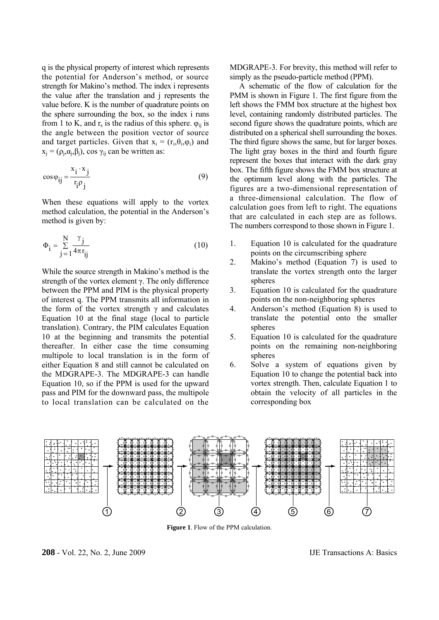q is the physical property of interest which represents the potential for Anderson's method, or source strength for Makino's method. The index i represents the value after the translation and j represents the value before. K is the number of quadrature points on the sphere surrounding the box, so the index i runs from 1 to K, and  $r_s$  is the radius of this sphere.  $\varphi_{ii}$  is the angle between the position vector of source and target particles. Given that  $x_i = (r_i, \theta_i, \varphi_i)$  and  $x_i = (\rho_i, \alpha_i, \beta_i)$ , cos  $\gamma_{ii}$  can be written as:

$$
\cos \varphi_{ij} = \frac{x_i \cdot x_j}{r_i \rho_j} \tag{9}
$$

When these equations will apply to the vortex method calculation, the potential in the Anderson's method is given by:

$$
\Phi_{\mathbf{i}} = \sum_{\mathbf{j}=1}^{N} \frac{\gamma_{\mathbf{j}}}{4\pi \mathbf{r}_{\mathbf{ij}}} \tag{10}
$$

While the source strength in Makino's method is the strength of the vortex element γ. The only difference between the PPM and PIM is the physical property of interest q. The PPM transmits all information in the form of the vortex strength  $\gamma$  and calculates Equation 10 at the final stage (local to particle translation). Contrary, the PIM calculates Equation 10 at the beginning and transmits the potential thereafter. In either case the time consuming multipole to local translation is in the form of either Equation 8 and still cannot be calculated on the MDGRAPE-3. The MDGRAPE-3 can handle Equation 10, so if the PPM is used for the upward pass and PIM for the downward pass, the multipole to local translation can be calculated on the MDGRAPE-3. For brevity, this method will refer to simply as the pseudo-particle method (PPM).

 A schematic of the flow of calculation for the PMM is shown in Figure 1. The first figure from the left shows the FMM box structure at the highest box level, containing randomly distributed particles. The second figure shows the quadrature points, which are distributed on a spherical shell surrounding the boxes. The third figure shows the same, but for larger boxes. The light gray boxes in the third and fourth figure represent the boxes that interact with the dark gray box. The fifth figure shows the FMM box structure at the optimum level along with the particles. The figures are a two-dimensional representation of a three-dimensional calculation. The flow of calculation goes from left to right. The equations that are calculated in each step are as follows. The numbers correspond to those shown in Figure 1.

- 1. Equation 10 is calculated for the quadrature points on the circumscribing sphere
- 2. Makino's method (Equation 7) is used to translate the vortex strength onto the larger spheres
- 3. Equation 10 is calculated for the quadrature points on the non-neighboring spheres
- 4. Anderson's method (Equation 8) is used to translate the potential onto the smaller spheres
- 5. Equation 10 is calculated for the quadrature points on the remaining non-neighboring spheres
- 6. Solve a system of equations given by Equation 10 to change the potential back into vortex strength. Then, calculate Equation 1 to obtain the velocity of all particles in the corresponding box



**Figure 1**. Flow of the PPM calculation.

**208** - Vol. 22, No. 2, June 2009 IJE Transactions A: Basics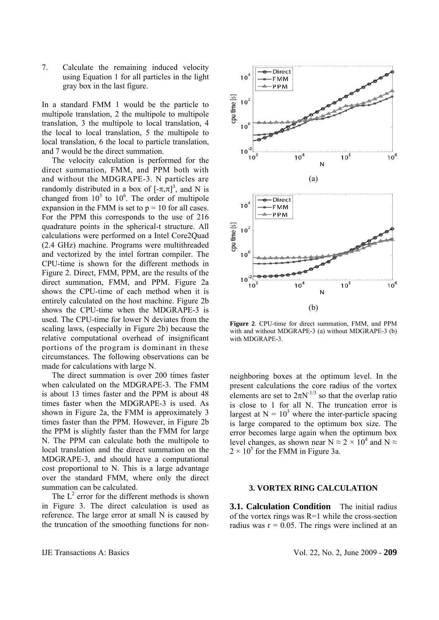7. Calculate the remaining induced velocity using Equation 1 for all particles in the light gray box in the last figure.

In a standard FMM 1 would be the particle to multipole translation, 2 the multipole to multipole translation, 3 the multipole to local translation, 4 the local to local translation, 5 the multipole to local translation, 6 the local to particle translation, and 7 would be the direct summation.

 The velocity calculation is performed for the direct summation, FMM, and PPM both with and without the MDGRAPE-3. N particles are randomly distributed in a box of  $[-\pi,\pi]^3$ , and N is changed from  $10^3$  to  $10^6$ . The order of multipole expansion in the FMM is set to  $p = 10$  for all cases. For the PPM this corresponds to the use of 216 quadrature points in the spherical-t structure. All calculations were performed on a Intel Core2Quad (2.4 GHz) machine. Programs were multithreaded and vectorized by the intel fortran compiler. The CPU-time is shown for the different methods in Figure 2. Direct, FMM, PPM, are the results of the direct summation, FMM, and PPM. Figure 2a shows the CPU-time of each method when it is entirely calculated on the host machine. Figure 2b shows the CPU-time when the MDGRAPE-3 is used. The CPU-time for lower N deviates from the scaling laws, (especially in Figure 2b) because the relative computational overhead of insignificant portions of the program is dominant in these circumstances. The following observations can be made for calculations with large N.

 The direct summation is over 200 times faster when calculated on the MDGRAPE-3. The FMM is about 13 times faster and the PPM is about 48 times faster when the MDGRAPE-3 is used. As shown in Figure 2a, the FMM is approximately 3 times faster than the PPM. However, in Figure 2b the PPM is slightly faster than the FMM for large N. The PPM can calculate both the multipole to local translation and the direct summation on the MDGRAPE-3, and should have a computational cost proportional to N. This is a large advantage over the standard FMM, where only the direct summation can be calculated.

The  $L^2$  error for the different methods is shown in Figure 3. The direct calculation is used as reference. The large error at small N is caused by the truncation of the smoothing functions for non-



**Figure 2**. CPU-time for direct summation, FMM, and PPM with and without MDGRAPE-3 (a) without MDGRAPE-3 (b) with MDGRAPE-3.

neighboring boxes at the optimum level. In the present calculations the core radius of the vortex elements are set to  $2\pi N^{-1/3}$  so that the overlap ratio is close to 1 for all N. The truncation error is largest at  $N = 10<sup>3</sup>$  where the inter-particle spacing is large compared to the optimum box size. The error becomes large again when the optimum box level changes, as shown near  $N \approx 2 \times 10^4$  and  $N \approx$  $2 \times 10^5$  for the FMM in Figure 3a.

## **3. VORTEX RING CALCULATION**

**3.1. Calculation Condition** The initial radius of the vortex rings was R=1 while the cross-section radius was  $r = 0.05$ . The rings were inclined at an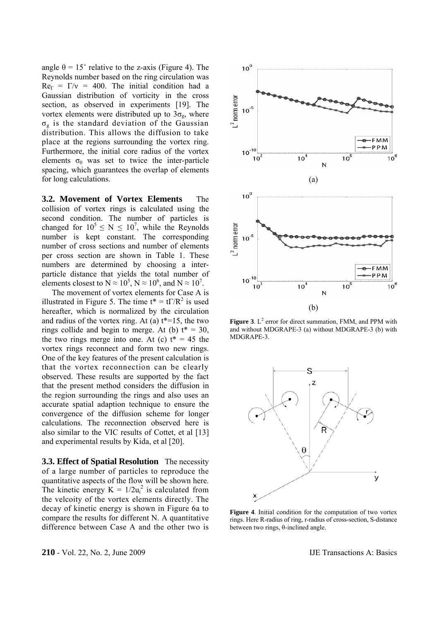angle  $\theta = 15^{\circ}$  relative to the z-axis (Figure 4). The Reynolds number based on the ring circulation was  $Re_{\Gamma} = \Gamma/v = 400$ . The initial condition had a Gaussian distribution of vorticity in the cross section, as observed in experiments [19]. The vortex elements were distributed up to  $3\sigma_{\rm g}$ , where  $\sigma_{g}$  is the standard deviation of the Gaussian distribution. This allows the diffusion to take place at the regions surrounding the vortex ring. Furthermore, the initial core radius of the vortex elements  $\sigma_0$  was set to twice the inter-particle spacing, which guarantees the overlap of elements for long calculations.

**3.2. Movement of Vortex Elements** The collision of vortex rings is calculated using the second condition. The number of particles is changed for  $10^5 \le N \le 10^7$ , while the Reynolds number is kept constant. The corresponding number of cross sections and number of elements per cross section are shown in Table 1. These numbers are determined by choosing a interparticle distance that yields the total number of elements closest to  $N \approx 10^5$ ,  $N \approx 10^6$ , and  $N \approx 10^7$ .

 The movement of vortex elements for Case A is illustrated in Figure 5. The time  $t^* = t\Gamma/R^2$  is used hereafter, which is normalized by the circulation and radius of the vortex ring. At (a)  $t^*=15$ , the two rings collide and begin to merge. At (b)  $t^* = 30$ , the two rings merge into one. At (c)  $t^* = 45$  the vortex rings reconnect and form two new rings. One of the key features of the present calculation is that the vortex reconnection can be clearly observed. These results are supported by the fact that the present method considers the diffusion in the region surrounding the rings and also uses an accurate spatial adaption technique to ensure the convergence of the diffusion scheme for longer calculations. The reconnection observed here is also similar to the VIC results of Cottet, et al [13] and experimental results by Kida, et al [20].

**3.3. Effect of Spatial Resolution** The necessity of a large number of particles to reproduce the quantitative aspects of the flow will be shown here. The kinetic energy  $K = 1/2u_i^2$  is calculated from the velcoity of the vortex elements directly. The decay of kinetic energy is shown in Figure 6a to compare the results for different N. A quantitative difference between Case A and the other two is





**Figure 3**.  $L^2$  error for direct summation, FMM, and PPM with and without MDGRAPE-3 (a) without MDGRAPE-3 (b) with MDGRAPE-3.



**Figure 4**. Initial condition for the computation of two vortex rings. Here R-radius of ring, r-radius of cross-section, S-distance between two rings, θ-inclined angle.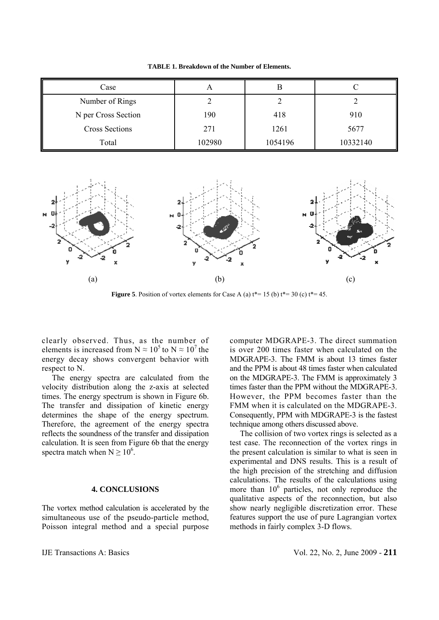**TABLE 1. Breakdown of the Number of Elements.**

| Case                  |        |         |          |
|-----------------------|--------|---------|----------|
| Number of Rings       |        |         |          |
| N per Cross Section   | 190    | 418     | 910      |
| <b>Cross Sections</b> | 271    | 1261    | 5677     |
| Total                 | 102980 | 1054196 | 10332140 |



**Figure 5**. Position of vortex elements for Case A (a)  $t^* = 15$  (b)  $t^* = 30$  (c)  $t^* = 45$ .

clearly observed. Thus, as the number of elements is increased from N  $\approx 10^5$  to N  $\approx 10^7$  the energy decay shows convergent behavior with respect to N.

 The energy spectra are calculated from the velocity distribution along the z-axis at selected times. The energy spectrum is shown in Figure 6b. The transfer and dissipation of kinetic energy determines the shape of the energy spectrum. Therefore, the agreement of the energy spectra reflects the soundness of the transfer and dissipation calculation. It is seen from Figure 6b that the energy spectra match when  $N \ge 10^6$ .

## **4. CONCLUSIONS**

The vortex method calculation is accelerated by the simultaneous use of the pseudo-particle method, Poisson integral method and a special purpose computer MDGRAPE-3. The direct summation is over 200 times faster when calculated on the MDGRAPE-3. The FMM is about 13 times faster and the PPM is about 48 times faster when calculated on the MDGRAPE-3. The FMM is approximately 3 times faster than the PPM without the MDGRAPE-3. However, the PPM becomes faster than the FMM when it is calculated on the MDGRAPE-3. Consequently, PPM with MDGRAPE-3 is the fastest technique among others discussed above.

 The collision of two vortex rings is selected as a test case. The reconnection of the vortex rings in the present calculation is similar to what is seen in experimental and DNS results. This is a result of the high precision of the stretching and diffusion calculations. The results of the calculations using more than 10<sup>6</sup> particles, not only reproduce the qualitative aspects of the reconnection, but also show nearly negligible discretization error. These features support the use of pure Lagrangian vortex methods in fairly complex 3-D flows.